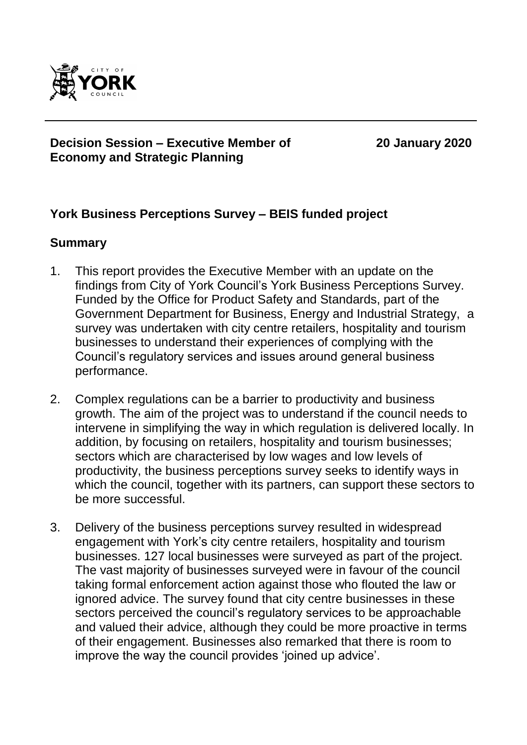

#### **Decision Session – Executive Member of Economy and Strategic Planning**

**20 January 2020**

## **York Business Perceptions Survey – BEIS funded project**

## **Summary**

- 1. This report provides the Executive Member with an update on the findings from City of York Council's York Business Perceptions Survey. Funded by the Office for Product Safety and Standards, part of the Government Department for Business, Energy and Industrial Strategy, a survey was undertaken with city centre retailers, hospitality and tourism businesses to understand their experiences of complying with the Council's regulatory services and issues around general business performance.
- 2. Complex regulations can be a barrier to productivity and business growth. The aim of the project was to understand if the council needs to intervene in simplifying the way in which regulation is delivered locally. In addition, by focusing on retailers, hospitality and tourism businesses; sectors which are characterised by low wages and low levels of productivity, the business perceptions survey seeks to identify ways in which the council, together with its partners, can support these sectors to be more successful.
- 3. Delivery of the business perceptions survey resulted in widespread engagement with York's city centre retailers, hospitality and tourism businesses. 127 local businesses were surveyed as part of the project. The vast majority of businesses surveyed were in favour of the council taking formal enforcement action against those who flouted the law or ignored advice. The survey found that city centre businesses in these sectors perceived the council's regulatory services to be approachable and valued their advice, although they could be more proactive in terms of their engagement. Businesses also remarked that there is room to improve the way the council provides 'joined up advice'.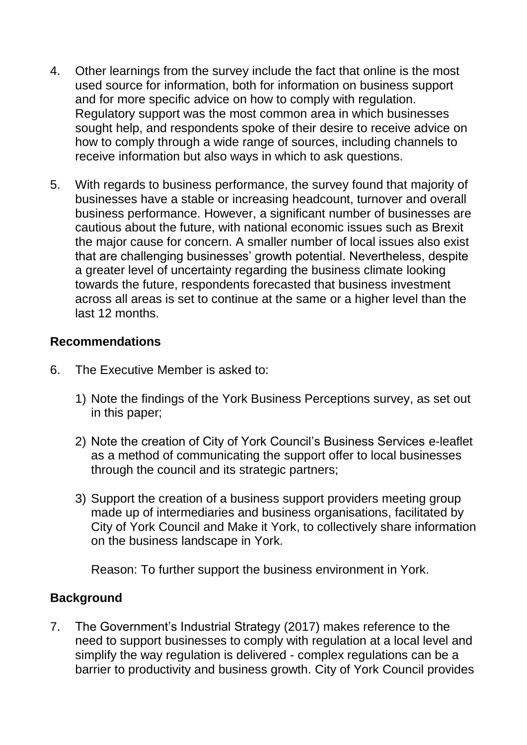- 4. Other learnings from the survey include the fact that online is the most used source for information, both for information on business support and for more specific advice on how to comply with regulation. Regulatory support was the most common area in which businesses sought help, and respondents spoke of their desire to receive advice on how to comply through a wide range of sources, including channels to receive information but also ways in which to ask questions.
- 5. With regards to business performance, the survey found that majority of businesses have a stable or increasing headcount, turnover and overall business performance. However, a significant number of businesses are cautious about the future, with national economic issues such as Brexit the major cause for concern. A smaller number of local issues also exist that are challenging businesses' growth potential. Nevertheless, despite a greater level of uncertainty regarding the business climate looking towards the future, respondents forecasted that business investment across all areas is set to continue at the same or a higher level than the last 12 months.

## **Recommendations**

- 6. The Executive Member is asked to:
	- 1) Note the findings of the York Business Perceptions survey, as set out in this paper;
	- 2) Note the creation of City of York Council's Business Services e-leaflet as a method of communicating the support offer to local businesses through the council and its strategic partners;
	- 3) Support the creation of a business support providers meeting group made up of intermediaries and business organisations, facilitated by City of York Council and Make it York, to collectively share information on the business landscape in York.

Reason: To further support the business environment in York.

## **Background**

7. The Government's Industrial Strategy (2017) makes reference to the need to support businesses to comply with regulation at a local level and simplify the way regulation is delivered - complex regulations can be a barrier to productivity and business growth. City of York Council provides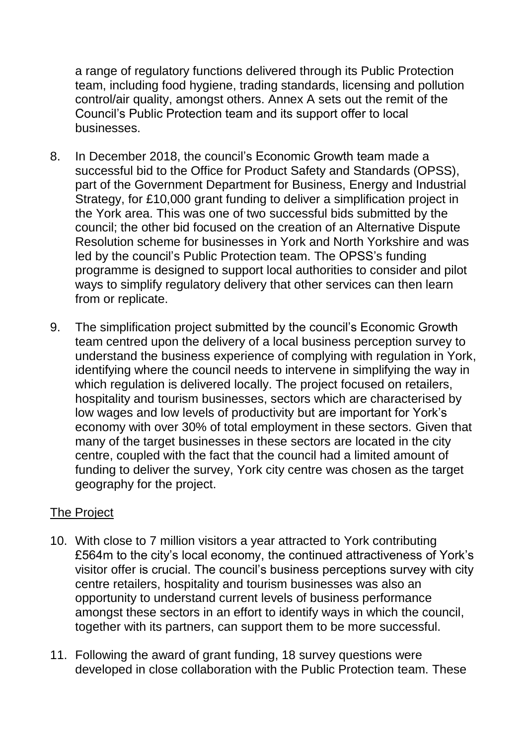a range of regulatory functions delivered through its Public Protection team, including food hygiene, trading standards, licensing and pollution control/air quality, amongst others. Annex A sets out the remit of the Council's Public Protection team and its support offer to local businesses.

- 8. In December 2018, the council's Economic Growth team made a successful bid to the Office for Product Safety and Standards (OPSS), part of the Government Department for Business, Energy and Industrial Strategy, for £10,000 grant funding to deliver a simplification project in the York area. This was one of two successful bids submitted by the council; the other bid focused on the creation of an Alternative Dispute Resolution scheme for businesses in York and North Yorkshire and was led by the council's Public Protection team. The OPSS's funding programme is designed to support local authorities to consider and pilot ways to simplify regulatory delivery that other services can then learn from or replicate.
- 9. The simplification project submitted by the council's Economic Growth team centred upon the delivery of a local business perception survey to understand the business experience of complying with regulation in York, identifying where the council needs to intervene in simplifying the way in which regulation is delivered locally. The project focused on retailers, hospitality and tourism businesses, sectors which are characterised by low wages and low levels of productivity but are important for York's economy with over 30% of total employment in these sectors. Given that many of the target businesses in these sectors are located in the city centre, coupled with the fact that the council had a limited amount of funding to deliver the survey, York city centre was chosen as the target geography for the project.

## The Project

- 10. With close to 7 million visitors a year attracted to York contributing £564m to the city's local economy, the continued attractiveness of York's visitor offer is crucial. The council's business perceptions survey with city centre retailers, hospitality and tourism businesses was also an opportunity to understand current levels of business performance amongst these sectors in an effort to identify ways in which the council, together with its partners, can support them to be more successful.
- 11. Following the award of grant funding, 18 survey questions were developed in close collaboration with the Public Protection team. These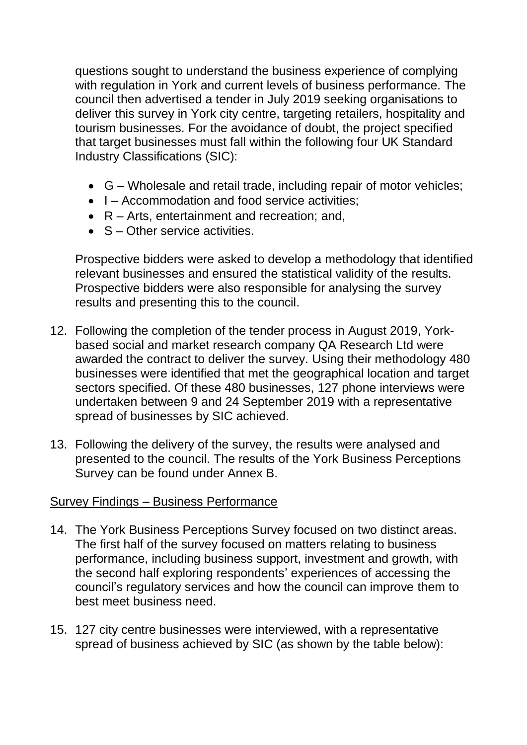questions sought to understand the business experience of complying with regulation in York and current levels of business performance. The council then advertised a tender in July 2019 seeking organisations to deliver this survey in York city centre, targeting retailers, hospitality and tourism businesses. For the avoidance of doubt, the project specified that target businesses must fall within the following four UK Standard Industry Classifications (SIC):

- G Wholesale and retail trade, including repair of motor vehicles;
- I Accommodation and food service activities:
- R Arts, entertainment and recreation; and,
- S Other service activities.

Prospective bidders were asked to develop a methodology that identified relevant businesses and ensured the statistical validity of the results. Prospective bidders were also responsible for analysing the survey results and presenting this to the council.

- 12. Following the completion of the tender process in August 2019, Yorkbased social and market research company QA Research Ltd were awarded the contract to deliver the survey. Using their methodology 480 businesses were identified that met the geographical location and target sectors specified. Of these 480 businesses, 127 phone interviews were undertaken between 9 and 24 September 2019 with a representative spread of businesses by SIC achieved.
- 13. Following the delivery of the survey, the results were analysed and presented to the council. The results of the York Business Perceptions Survey can be found under Annex B.

## Survey Findings – Business Performance

- 14. The York Business Perceptions Survey focused on two distinct areas. The first half of the survey focused on matters relating to business performance, including business support, investment and growth, with the second half exploring respondents' experiences of accessing the council's regulatory services and how the council can improve them to best meet business need.
- 15. 127 city centre businesses were interviewed, with a representative spread of business achieved by SIC (as shown by the table below):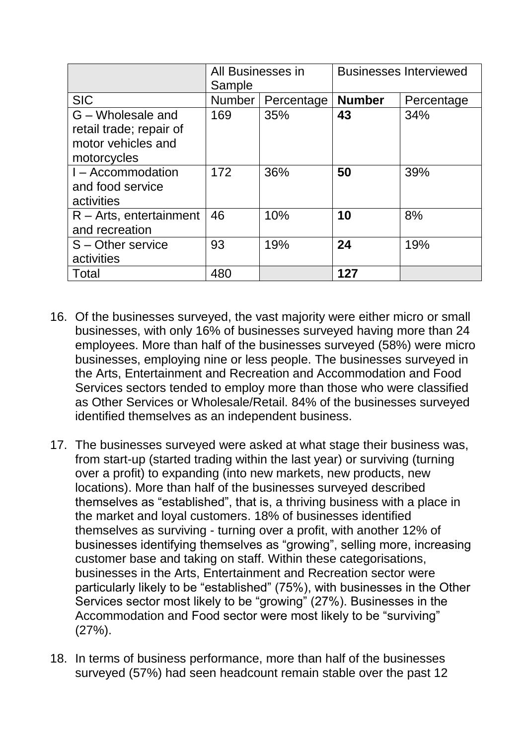|                                                                                   | All Businesses in<br>Sample |            | <b>Businesses Interviewed</b> |            |
|-----------------------------------------------------------------------------------|-----------------------------|------------|-------------------------------|------------|
| <b>SIC</b>                                                                        | <b>Number</b>               | Percentage | <b>Number</b>                 | Percentage |
| G - Wholesale and<br>retail trade; repair of<br>motor vehicles and<br>motorcycles | 169                         | 35%        | 43                            | 34%        |
| I – Accommodation<br>and food service<br>activities                               | 172                         | 36%        | 50                            | 39%        |
| $R - Arts$ , entertainment<br>and recreation                                      | 46                          | 10%        | 10                            | 8%         |
| S - Other service<br>activities                                                   | 93                          | 19%        | 24                            | 19%        |
| Total                                                                             | 480                         |            | 127                           |            |

- 16. Of the businesses surveyed, the vast majority were either micro or small businesses, with only 16% of businesses surveyed having more than 24 employees. More than half of the businesses surveyed (58%) were micro businesses, employing nine or less people. The businesses surveyed in the Arts, Entertainment and Recreation and Accommodation and Food Services sectors tended to employ more than those who were classified as Other Services or Wholesale/Retail. 84% of the businesses surveyed identified themselves as an independent business.
- 17. The businesses surveyed were asked at what stage their business was, from start-up (started trading within the last year) or surviving (turning over a profit) to expanding (into new markets, new products, new locations). More than half of the businesses surveyed described themselves as "established", that is, a thriving business with a place in the market and loyal customers. 18% of businesses identified themselves as surviving - turning over a profit, with another 12% of businesses identifying themselves as "growing", selling more, increasing customer base and taking on staff. Within these categorisations, businesses in the Arts, Entertainment and Recreation sector were particularly likely to be "established" (75%), with businesses in the Other Services sector most likely to be "growing" (27%). Businesses in the Accommodation and Food sector were most likely to be "surviving" (27%).
- 18. In terms of business performance, more than half of the businesses surveyed (57%) had seen headcount remain stable over the past 12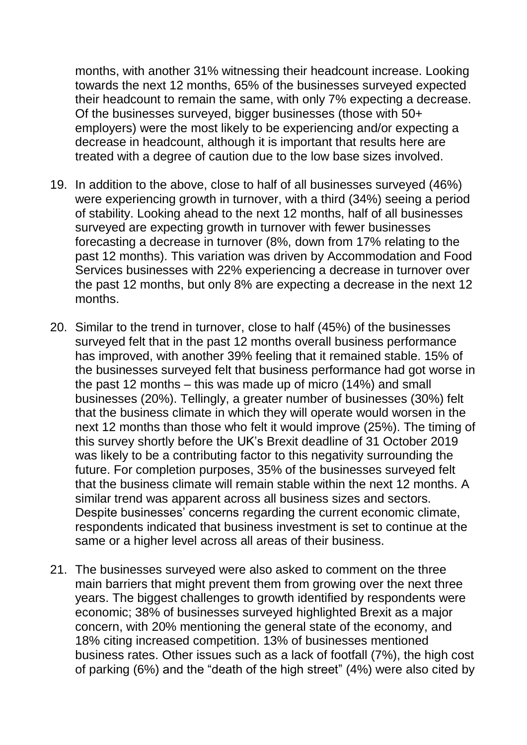months, with another 31% witnessing their headcount increase. Looking towards the next 12 months, 65% of the businesses surveyed expected their headcount to remain the same, with only 7% expecting a decrease. Of the businesses surveyed, bigger businesses (those with 50+ employers) were the most likely to be experiencing and/or expecting a decrease in headcount, although it is important that results here are treated with a degree of caution due to the low base sizes involved.

- 19. In addition to the above, close to half of all businesses surveyed (46%) were experiencing growth in turnover, with a third (34%) seeing a period of stability. Looking ahead to the next 12 months, half of all businesses surveyed are expecting growth in turnover with fewer businesses forecasting a decrease in turnover (8%, down from 17% relating to the past 12 months). This variation was driven by Accommodation and Food Services businesses with 22% experiencing a decrease in turnover over the past 12 months, but only 8% are expecting a decrease in the next 12 months.
- 20. Similar to the trend in turnover, close to half (45%) of the businesses surveyed felt that in the past 12 months overall business performance has improved, with another 39% feeling that it remained stable. 15% of the businesses surveyed felt that business performance had got worse in the past 12 months – this was made up of micro (14%) and small businesses (20%). Tellingly, a greater number of businesses (30%) felt that the business climate in which they will operate would worsen in the next 12 months than those who felt it would improve (25%). The timing of this survey shortly before the UK's Brexit deadline of 31 October 2019 was likely to be a contributing factor to this negativity surrounding the future. For completion purposes, 35% of the businesses surveyed felt that the business climate will remain stable within the next 12 months. A similar trend was apparent across all business sizes and sectors. Despite businesses' concerns regarding the current economic climate, respondents indicated that business investment is set to continue at the same or a higher level across all areas of their business.
- 21. The businesses surveyed were also asked to comment on the three main barriers that might prevent them from growing over the next three years. The biggest challenges to growth identified by respondents were economic; 38% of businesses surveyed highlighted Brexit as a major concern, with 20% mentioning the general state of the economy, and 18% citing increased competition. 13% of businesses mentioned business rates. Other issues such as a lack of footfall (7%), the high cost of parking (6%) and the "death of the high street" (4%) were also cited by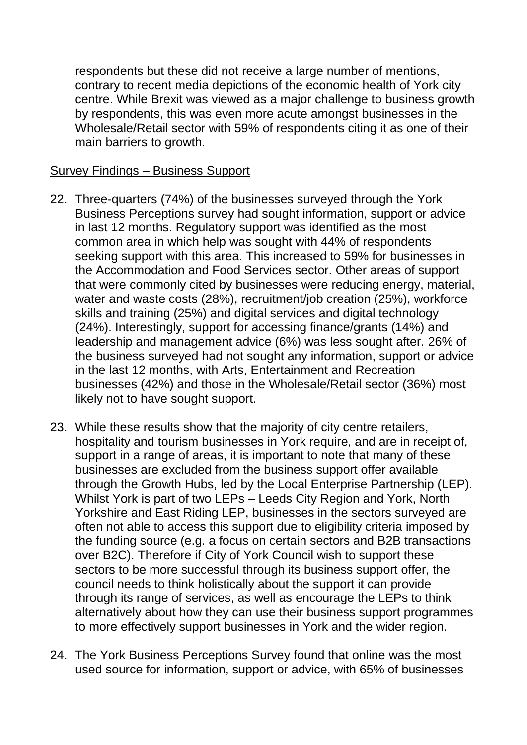respondents but these did not receive a large number of mentions, contrary to recent media depictions of the economic health of York city centre. While Brexit was viewed as a major challenge to business growth by respondents, this was even more acute amongst businesses in the Wholesale/Retail sector with 59% of respondents citing it as one of their main barriers to growth.

#### Survey Findings – Business Support

- 22. Three-quarters (74%) of the businesses surveyed through the York Business Perceptions survey had sought information, support or advice in last 12 months. Regulatory support was identified as the most common area in which help was sought with 44% of respondents seeking support with this area. This increased to 59% for businesses in the Accommodation and Food Services sector. Other areas of support that were commonly cited by businesses were reducing energy, material, water and waste costs (28%), recruitment/job creation (25%), workforce skills and training (25%) and digital services and digital technology (24%). Interestingly, support for accessing finance/grants (14%) and leadership and management advice (6%) was less sought after. 26% of the business surveyed had not sought any information, support or advice in the last 12 months, with Arts, Entertainment and Recreation businesses (42%) and those in the Wholesale/Retail sector (36%) most likely not to have sought support.
- 23. While these results show that the majority of city centre retailers, hospitality and tourism businesses in York require, and are in receipt of, support in a range of areas, it is important to note that many of these businesses are excluded from the business support offer available through the Growth Hubs, led by the Local Enterprise Partnership (LEP). Whilst York is part of two LEPs – Leeds City Region and York, North Yorkshire and East Riding LEP, businesses in the sectors surveyed are often not able to access this support due to eligibility criteria imposed by the funding source (e.g. a focus on certain sectors and B2B transactions over B2C). Therefore if City of York Council wish to support these sectors to be more successful through its business support offer, the council needs to think holistically about the support it can provide through its range of services, as well as encourage the LEPs to think alternatively about how they can use their business support programmes to more effectively support businesses in York and the wider region.
- 24. The York Business Perceptions Survey found that online was the most used source for information, support or advice, with 65% of businesses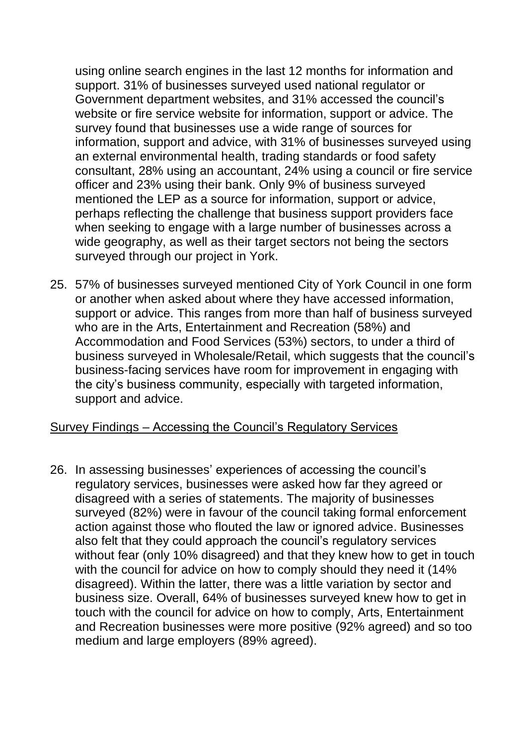using online search engines in the last 12 months for information and support. 31% of businesses surveyed used national regulator or Government department websites, and 31% accessed the council's website or fire service website for information, support or advice. The survey found that businesses use a wide range of sources for information, support and advice, with 31% of businesses surveyed using an external environmental health, trading standards or food safety consultant, 28% using an accountant, 24% using a council or fire service officer and 23% using their bank. Only 9% of business surveyed mentioned the LEP as a source for information, support or advice, perhaps reflecting the challenge that business support providers face when seeking to engage with a large number of businesses across a wide geography, as well as their target sectors not being the sectors surveyed through our project in York.

25. 57% of businesses surveyed mentioned City of York Council in one form or another when asked about where they have accessed information, support or advice. This ranges from more than half of business surveyed who are in the Arts, Entertainment and Recreation (58%) and Accommodation and Food Services (53%) sectors, to under a third of business surveyed in Wholesale/Retail, which suggests that the council's business-facing services have room for improvement in engaging with the city's business community, especially with targeted information, support and advice.

#### Survey Findings – Accessing the Council's Regulatory Services

26. In assessing businesses' experiences of accessing the council's regulatory services, businesses were asked how far they agreed or disagreed with a series of statements. The majority of businesses surveyed (82%) were in favour of the council taking formal enforcement action against those who flouted the law or ignored advice. Businesses also felt that they could approach the council's regulatory services without fear (only 10% disagreed) and that they knew how to get in touch with the council for advice on how to comply should they need it (14% disagreed). Within the latter, there was a little variation by sector and business size. Overall, 64% of businesses surveyed knew how to get in touch with the council for advice on how to comply, Arts, Entertainment and Recreation businesses were more positive (92% agreed) and so too medium and large employers (89% agreed).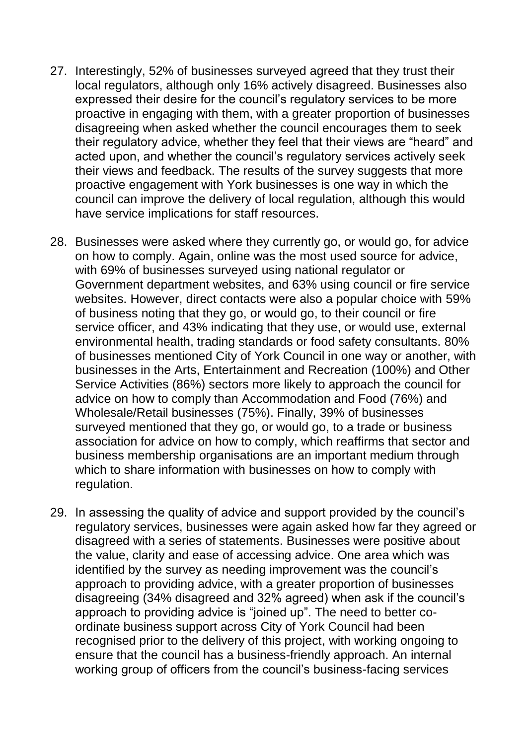- 27. Interestingly, 52% of businesses surveyed agreed that they trust their local regulators, although only 16% actively disagreed. Businesses also expressed their desire for the council's regulatory services to be more proactive in engaging with them, with a greater proportion of businesses disagreeing when asked whether the council encourages them to seek their regulatory advice, whether they feel that their views are "heard" and acted upon, and whether the council's regulatory services actively seek their views and feedback. The results of the survey suggests that more proactive engagement with York businesses is one way in which the council can improve the delivery of local regulation, although this would have service implications for staff resources.
- 28. Businesses were asked where they currently go, or would go, for advice on how to comply. Again, online was the most used source for advice, with 69% of businesses surveyed using national regulator or Government department websites, and 63% using council or fire service websites. However, direct contacts were also a popular choice with 59% of business noting that they go, or would go, to their council or fire service officer, and 43% indicating that they use, or would use, external environmental health, trading standards or food safety consultants. 80% of businesses mentioned City of York Council in one way or another, with businesses in the Arts, Entertainment and Recreation (100%) and Other Service Activities (86%) sectors more likely to approach the council for advice on how to comply than Accommodation and Food (76%) and Wholesale/Retail businesses (75%). Finally, 39% of businesses surveyed mentioned that they go, or would go, to a trade or business association for advice on how to comply, which reaffirms that sector and business membership organisations are an important medium through which to share information with businesses on how to comply with regulation.
- 29. In assessing the quality of advice and support provided by the council's regulatory services, businesses were again asked how far they agreed or disagreed with a series of statements. Businesses were positive about the value, clarity and ease of accessing advice. One area which was identified by the survey as needing improvement was the council's approach to providing advice, with a greater proportion of businesses disagreeing (34% disagreed and 32% agreed) when ask if the council's approach to providing advice is "joined up". The need to better coordinate business support across City of York Council had been recognised prior to the delivery of this project, with working ongoing to ensure that the council has a business-friendly approach. An internal working group of officers from the council's business-facing services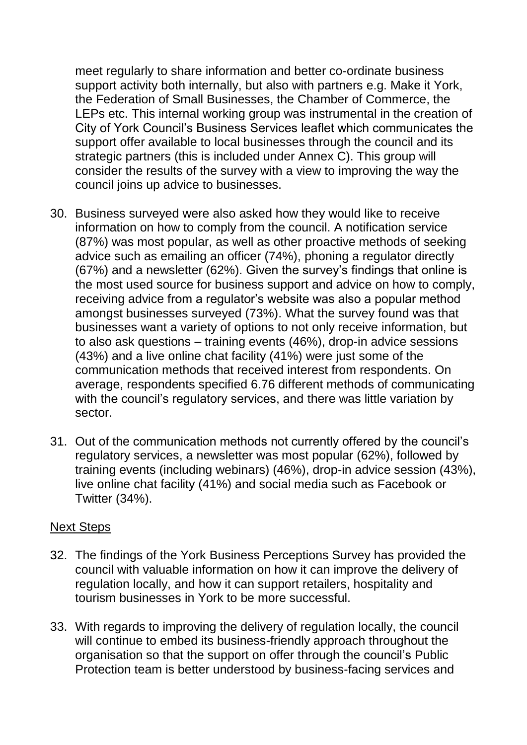meet regularly to share information and better co-ordinate business support activity both internally, but also with partners e.g. Make it York, the Federation of Small Businesses, the Chamber of Commerce, the LEPs etc. This internal working group was instrumental in the creation of City of York Council's Business Services leaflet which communicates the support offer available to local businesses through the council and its strategic partners (this is included under Annex C). This group will consider the results of the survey with a view to improving the way the council joins up advice to businesses.

- 30. Business surveyed were also asked how they would like to receive information on how to comply from the council. A notification service (87%) was most popular, as well as other proactive methods of seeking advice such as emailing an officer (74%), phoning a regulator directly (67%) and a newsletter (62%). Given the survey's findings that online is the most used source for business support and advice on how to comply, receiving advice from a regulator's website was also a popular method amongst businesses surveyed (73%). What the survey found was that businesses want a variety of options to not only receive information, but to also ask questions – training events (46%), drop-in advice sessions (43%) and a live online chat facility (41%) were just some of the communication methods that received interest from respondents. On average, respondents specified 6.76 different methods of communicating with the council's regulatory services, and there was little variation by sector.
- 31. Out of the communication methods not currently offered by the council's regulatory services, a newsletter was most popular (62%), followed by training events (including webinars) (46%), drop-in advice session (43%), live online chat facility (41%) and social media such as Facebook or Twitter (34%).

## Next Steps

- 32. The findings of the York Business Perceptions Survey has provided the council with valuable information on how it can improve the delivery of regulation locally, and how it can support retailers, hospitality and tourism businesses in York to be more successful.
- 33. With regards to improving the delivery of regulation locally, the council will continue to embed its business-friendly approach throughout the organisation so that the support on offer through the council's Public Protection team is better understood by business-facing services and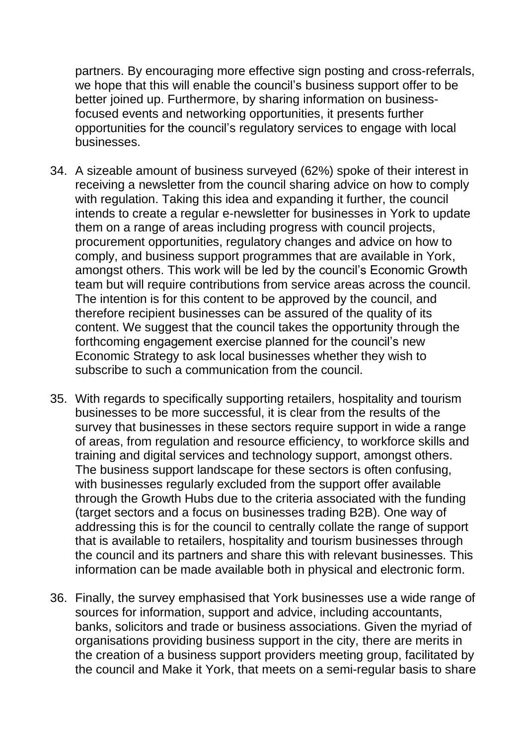partners. By encouraging more effective sign posting and cross-referrals, we hope that this will enable the council's business support offer to be better joined up. Furthermore, by sharing information on businessfocused events and networking opportunities, it presents further opportunities for the council's regulatory services to engage with local businesses.

- 34. A sizeable amount of business surveyed (62%) spoke of their interest in receiving a newsletter from the council sharing advice on how to comply with regulation. Taking this idea and expanding it further, the council intends to create a regular e-newsletter for businesses in York to update them on a range of areas including progress with council projects, procurement opportunities, regulatory changes and advice on how to comply, and business support programmes that are available in York, amongst others. This work will be led by the council's Economic Growth team but will require contributions from service areas across the council. The intention is for this content to be approved by the council, and therefore recipient businesses can be assured of the quality of its content. We suggest that the council takes the opportunity through the forthcoming engagement exercise planned for the council's new Economic Strategy to ask local businesses whether they wish to subscribe to such a communication from the council.
- 35. With regards to specifically supporting retailers, hospitality and tourism businesses to be more successful, it is clear from the results of the survey that businesses in these sectors require support in wide a range of areas, from regulation and resource efficiency, to workforce skills and training and digital services and technology support, amongst others. The business support landscape for these sectors is often confusing, with businesses regularly excluded from the support offer available through the Growth Hubs due to the criteria associated with the funding (target sectors and a focus on businesses trading B2B). One way of addressing this is for the council to centrally collate the range of support that is available to retailers, hospitality and tourism businesses through the council and its partners and share this with relevant businesses. This information can be made available both in physical and electronic form.
- 36. Finally, the survey emphasised that York businesses use a wide range of sources for information, support and advice, including accountants, banks, solicitors and trade or business associations. Given the myriad of organisations providing business support in the city, there are merits in the creation of a business support providers meeting group, facilitated by the council and Make it York, that meets on a semi-regular basis to share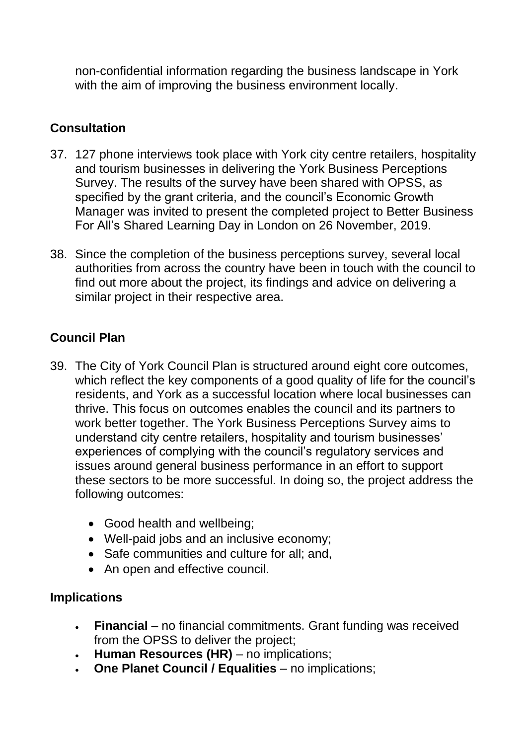non-confidential information regarding the business landscape in York with the aim of improving the business environment locally.

## **Consultation**

- 37. 127 phone interviews took place with York city centre retailers, hospitality and tourism businesses in delivering the York Business Perceptions Survey. The results of the survey have been shared with OPSS, as specified by the grant criteria, and the council's Economic Growth Manager was invited to present the completed project to Better Business For All's Shared Learning Day in London on 26 November, 2019.
- 38. Since the completion of the business perceptions survey, several local authorities from across the country have been in touch with the council to find out more about the project, its findings and advice on delivering a similar project in their respective area.

## **Council Plan**

- 39. The City of York Council Plan is structured around eight core outcomes, which reflect the key components of a good quality of life for the council's residents, and York as a successful location where local businesses can thrive. This focus on outcomes enables the council and its partners to work better together. The York Business Perceptions Survey aims to understand city centre retailers, hospitality and tourism businesses' experiences of complying with the council's regulatory services and issues around general business performance in an effort to support these sectors to be more successful. In doing so, the project address the following outcomes:
	- Good health and wellbeing;
	- Well-paid jobs and an inclusive economy;
	- Safe communities and culture for all: and,
	- An open and effective council.

## **Implications**

- **Financial** no financial commitments. Grant funding was received from the OPSS to deliver the project;
- **Human Resources (HR)**  no implications;
- **One Planet Council / Equalities**  no implications;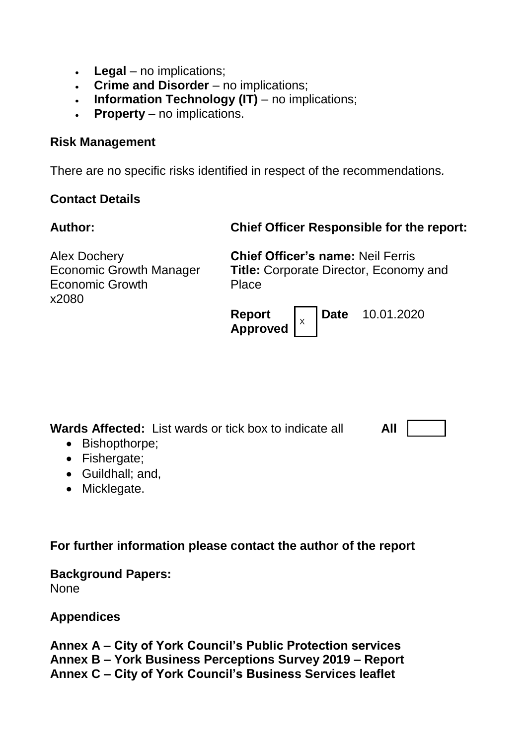- **Legal** no implications;
- **Crime and Disorder**  no implications;
- **Information Technology (IT)**  no implications;
- **Property**  no implications.

#### **Risk Management**

There are no specific risks identified in respect of the recommendations*.*

## **Contact Details**

**Author: Chief Officer Responsible for the report:**

| <b>Alex Dochery</b>            |  |
|--------------------------------|--|
| <b>Economic Growth Manager</b> |  |
| <b>Economic Growth</b>         |  |
| x2080                          |  |

**Chief Officer's name:** Neil Ferris **Title:** Corporate Director, Economy and Place



**Wards Affected:** List wards or tick box to indicate all

**All**

- Bishopthorpe:
- Fishergate;
- Guildhall; and,
- Micklegate.

**For further information please contact the author of the report**

# **Background Papers:**

**None** 

## **Appendices**

**Annex A – City of York Council's Public Protection services Annex B – York Business Perceptions Survey 2019 – Report Annex C – City of York Council's Business Services leaflet**